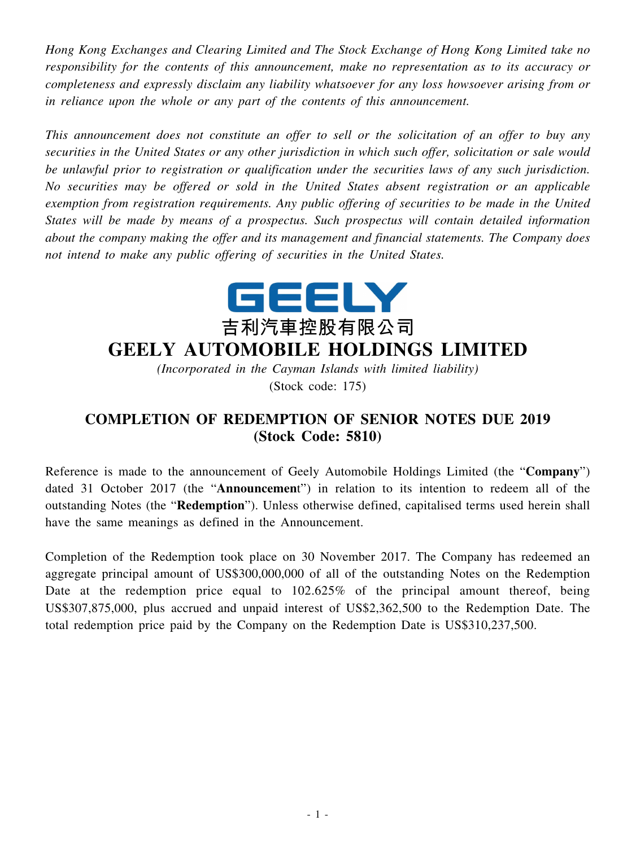*Hong Kong Exchanges and Clearing Limited and The Stock Exchange of Hong Kong Limited take no responsibility for the contents of this announcement, make no representation as to its accuracy or completeness and expressly disclaim any liability whatsoever for any loss howsoever arising from or in reliance upon the whole or any part of the contents of this announcement.*

*This announcement does not constitute an offer to sell or the solicitation of an offer to buy any securities in the United States or any other jurisdiction in which such offer, solicitation or sale would be unlawful prior to registration or qualification under the securities laws of any such jurisdiction. No securities may be offered or sold in the United States absent registration or an applicable exemption from registration requirements. Any public offering of securities to be made in the United States will be made by means of a prospectus. Such prospectus will contain detailed information about the company making the offer and its management and financial statements. The Company does not intend to make any public offering of securities in the United States.*



## **GEELY AUTOMOBILE HOLDINGS LIMITED**

*(Incorporated in the Cayman Islands with limited liability)* (Stock code: 175)

## **COMPLETION OF REDEMPTION OF SENIOR NOTES DUE 2019 (Stock Code: 5810)**

Reference is made to the announcement of Geely Automobile Holdings Limited (the "**Company**") dated 31 October 2017 (the "**Announcemen**t") in relation to its intention to redeem all of the outstanding Notes (the "**Redemption**"). Unless otherwise defined, capitalised terms used herein shall have the same meanings as defined in the Announcement.

Completion of the Redemption took place on 30 November 2017. The Company has redeemed an aggregate principal amount of US\$300,000,000 of all of the outstanding Notes on the Redemption Date at the redemption price equal to 102.625% of the principal amount thereof, being US\$307,875,000, plus accrued and unpaid interest of US\$2,362,500 to the Redemption Date. The total redemption price paid by the Company on the Redemption Date is US\$310,237,500.